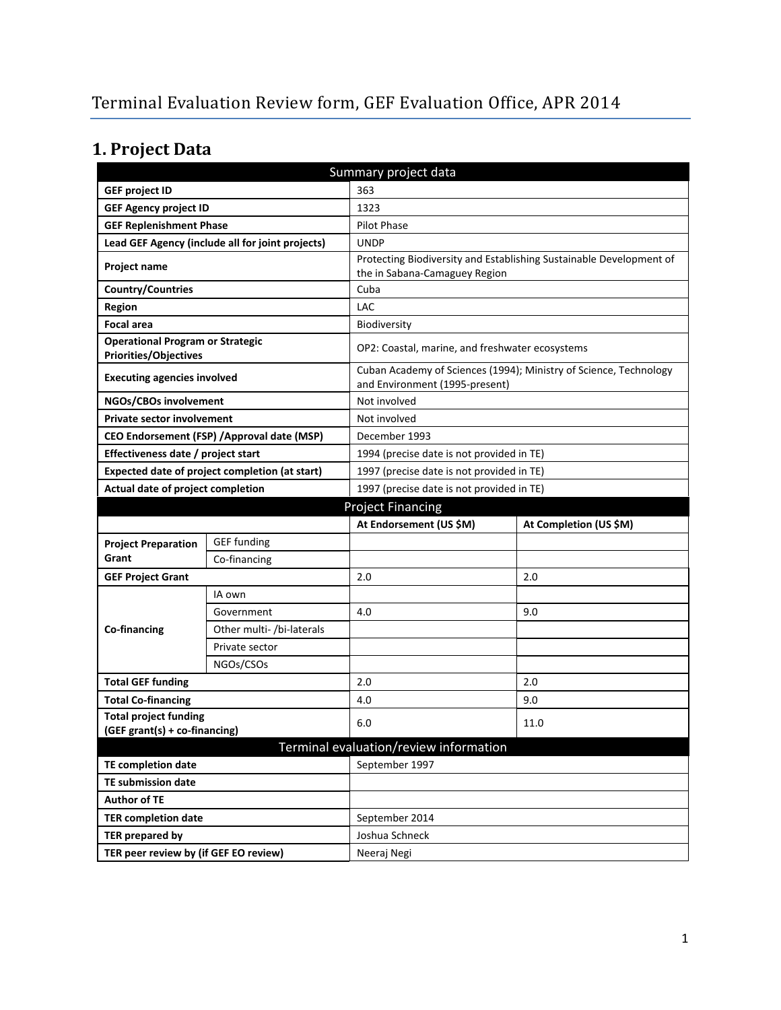# **1. Project Data**

| Summary project data                                                    |                                                  |                                                                                                      |                                                                   |  |
|-------------------------------------------------------------------------|--------------------------------------------------|------------------------------------------------------------------------------------------------------|-------------------------------------------------------------------|--|
| <b>GEF project ID</b>                                                   |                                                  | 363                                                                                                  |                                                                   |  |
| <b>GEF Agency project ID</b>                                            | 1323                                             |                                                                                                      |                                                                   |  |
| <b>GEF Replenishment Phase</b>                                          |                                                  | Pilot Phase                                                                                          |                                                                   |  |
|                                                                         | Lead GEF Agency (include all for joint projects) | <b>UNDP</b>                                                                                          |                                                                   |  |
| Project name                                                            |                                                  | Protecting Biodiversity and Establishing Sustainable Development of<br>the in Sabana-Camaguey Region |                                                                   |  |
| <b>Country/Countries</b>                                                |                                                  | Cuba                                                                                                 |                                                                   |  |
| <b>Region</b>                                                           |                                                  | LAC                                                                                                  |                                                                   |  |
| <b>Focal area</b>                                                       |                                                  | <b>Biodiversity</b>                                                                                  |                                                                   |  |
| <b>Operational Program or Strategic</b><br><b>Priorities/Objectives</b> |                                                  | OP2: Coastal, marine, and freshwater ecosystems                                                      |                                                                   |  |
| <b>Executing agencies involved</b>                                      |                                                  | and Environment (1995-present)                                                                       | Cuban Academy of Sciences (1994); Ministry of Science, Technology |  |
| NGOs/CBOs involvement                                                   |                                                  | Not involved                                                                                         |                                                                   |  |
| <b>Private sector involvement</b>                                       |                                                  | Not involved                                                                                         |                                                                   |  |
|                                                                         | CEO Endorsement (FSP) / Approval date (MSP)      | December 1993                                                                                        |                                                                   |  |
| Effectiveness date / project start                                      |                                                  | 1994 (precise date is not provided in TE)                                                            |                                                                   |  |
|                                                                         | Expected date of project completion (at start)   | 1997 (precise date is not provided in TE)                                                            |                                                                   |  |
| Actual date of project completion                                       |                                                  | 1997 (precise date is not provided in TE)                                                            |                                                                   |  |
|                                                                         |                                                  | <b>Project Financing</b>                                                                             |                                                                   |  |
|                                                                         |                                                  |                                                                                                      |                                                                   |  |
|                                                                         |                                                  | At Endorsement (US \$M)                                                                              | At Completion (US \$M)                                            |  |
| <b>Project Preparation</b>                                              | <b>GEF</b> funding                               |                                                                                                      |                                                                   |  |
| Grant                                                                   | Co-financing                                     |                                                                                                      |                                                                   |  |
| <b>GEF Project Grant</b>                                                |                                                  | 2.0                                                                                                  | 2.0                                                               |  |
|                                                                         | IA own                                           |                                                                                                      |                                                                   |  |
|                                                                         | Government                                       | 4.0                                                                                                  | 9.0                                                               |  |
| Co-financing                                                            | Other multi- /bi-laterals                        |                                                                                                      |                                                                   |  |
|                                                                         | Private sector                                   |                                                                                                      |                                                                   |  |
|                                                                         | NGOs/CSOs                                        |                                                                                                      |                                                                   |  |
| <b>Total GEF funding</b>                                                |                                                  | 2.0                                                                                                  | 2.0                                                               |  |
| <b>Total Co-financing</b>                                               |                                                  | 4.0                                                                                                  | 9.0                                                               |  |
| <b>Total project funding</b>                                            |                                                  | 6.0                                                                                                  | 11.0                                                              |  |
| (GEF grant(s) + co-financing)                                           |                                                  |                                                                                                      |                                                                   |  |
|                                                                         |                                                  | Terminal evaluation/review information                                                               |                                                                   |  |
| <b>TE completion date</b>                                               |                                                  | September 1997                                                                                       |                                                                   |  |
| <b>TE submission date</b>                                               |                                                  |                                                                                                      |                                                                   |  |
| <b>Author of TE</b>                                                     |                                                  |                                                                                                      |                                                                   |  |
| <b>TER completion date</b><br><b>TER prepared by</b>                    |                                                  | September 2014<br>Joshua Schneck                                                                     |                                                                   |  |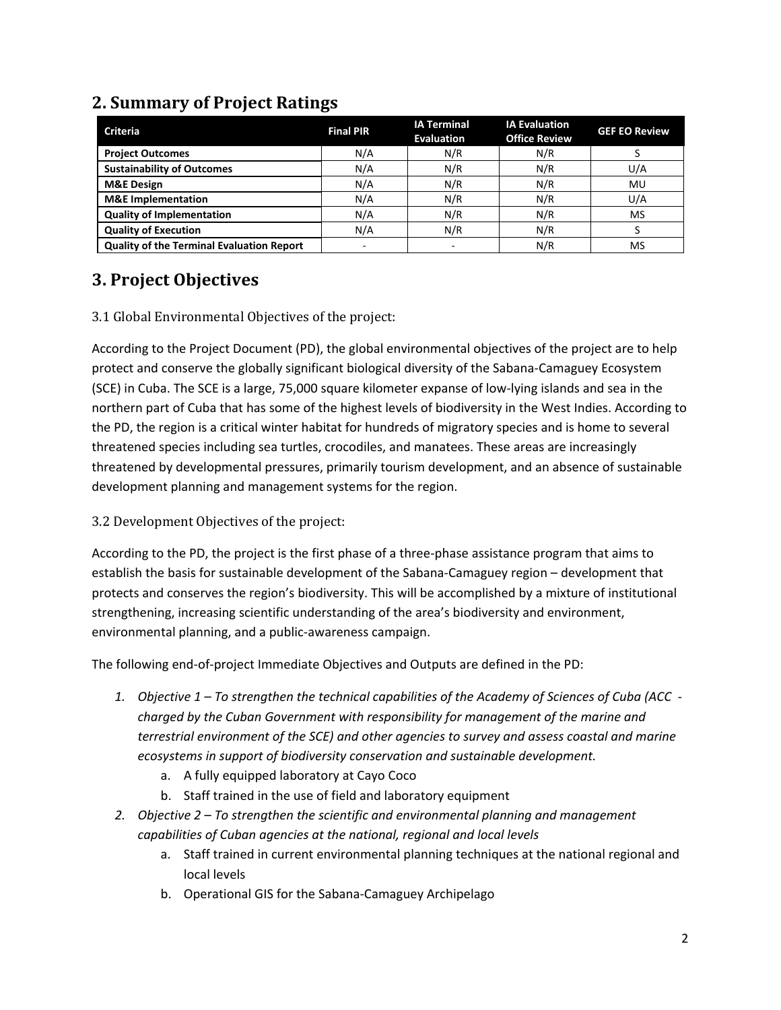| <b>Criteria</b>                                  | <b>Final PIR</b>         | <b>IA Terminal</b><br><b>Evaluation</b> | <b>IA Evaluation</b><br><b>Office Review</b> | <b>GEF EO Review</b> |
|--------------------------------------------------|--------------------------|-----------------------------------------|----------------------------------------------|----------------------|
| <b>Project Outcomes</b>                          | N/A                      | N/R                                     | N/R                                          |                      |
| <b>Sustainability of Outcomes</b>                | N/A                      | N/R                                     | N/R                                          | U/A                  |
| <b>M&amp;E Design</b>                            | N/A                      | N/R                                     | N/R                                          | MU                   |
| <b>M&amp;E</b> Implementation                    | N/A                      | N/R                                     | N/R                                          | U/A                  |
| <b>Quality of Implementation</b>                 | N/A                      | N/R                                     | N/R                                          | MS                   |
| <b>Quality of Execution</b>                      | N/A                      | N/R                                     | N/R                                          |                      |
| <b>Quality of the Terminal Evaluation Report</b> | $\overline{\phantom{a}}$ |                                         | N/R                                          | MS                   |

## **2. Summary of Project Ratings**

## **3. Project Objectives**

#### 3.1 Global Environmental Objectives of the project:

According to the Project Document (PD), the global environmental objectives of the project are to help protect and conserve the globally significant biological diversity of the Sabana-Camaguey Ecosystem (SCE) in Cuba. The SCE is a large, 75,000 square kilometer expanse of low-lying islands and sea in the northern part of Cuba that has some of the highest levels of biodiversity in the West Indies. According to the PD, the region is a critical winter habitat for hundreds of migratory species and is home to several threatened species including sea turtles, crocodiles, and manatees. These areas are increasingly threatened by developmental pressures, primarily tourism development, and an absence of sustainable development planning and management systems for the region.

#### 3.2 Development Objectives of the project:

According to the PD, the project is the first phase of a three-phase assistance program that aims to establish the basis for sustainable development of the Sabana-Camaguey region – development that protects and conserves the region's biodiversity. This will be accomplished by a mixture of institutional strengthening, increasing scientific understanding of the area's biodiversity and environment, environmental planning, and a public-awareness campaign.

The following end-of-project Immediate Objectives and Outputs are defined in the PD:

- *1. Objective 1 To strengthen the technical capabilities of the Academy of Sciences of Cuba (ACC charged by the Cuban Government with responsibility for management of the marine and terrestrial environment of the SCE) and other agencies to survey and assess coastal and marine ecosystems in support of biodiversity conservation and sustainable development.*
	- a. A fully equipped laboratory at Cayo Coco
	- b. Staff trained in the use of field and laboratory equipment
- *2. Objective 2 To strengthen the scientific and environmental planning and management capabilities of Cuban agencies at the national, regional and local levels*
	- a. Staff trained in current environmental planning techniques at the national regional and local levels
	- b. Operational GIS for the Sabana-Camaguey Archipelago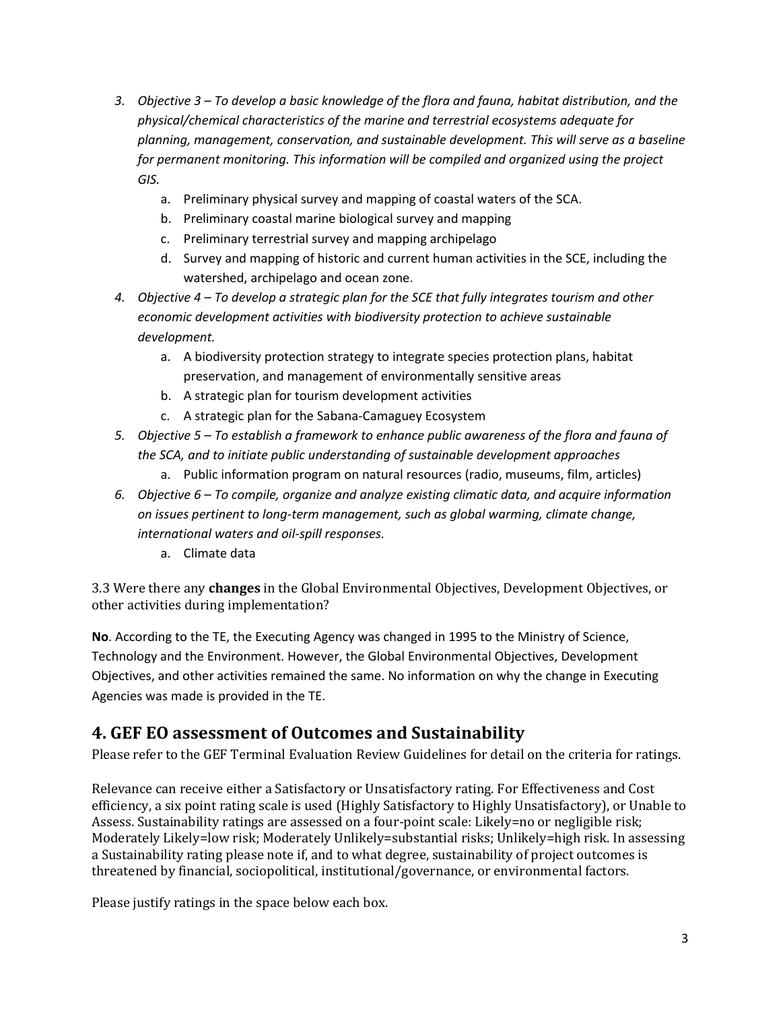- *3. Objective 3 To develop a basic knowledge of the flora and fauna, habitat distribution, and the physical/chemical characteristics of the marine and terrestrial ecosystems adequate for planning, management, conservation, and sustainable development. This will serve as a baseline for permanent monitoring. This information will be compiled and organized using the project GIS.*
	- a. Preliminary physical survey and mapping of coastal waters of the SCA.
	- b. Preliminary coastal marine biological survey and mapping
	- c. Preliminary terrestrial survey and mapping archipelago
	- d. Survey and mapping of historic and current human activities in the SCE, including the watershed, archipelago and ocean zone.
- *4. Objective 4 To develop a strategic plan for the SCE that fully integrates tourism and other economic development activities with biodiversity protection to achieve sustainable development.*
	- a. A biodiversity protection strategy to integrate species protection plans, habitat preservation, and management of environmentally sensitive areas
	- b. A strategic plan for tourism development activities
	- c. A strategic plan for the Sabana-Camaguey Ecosystem
- *5. Objective 5 To establish a framework to enhance public awareness of the flora and fauna of the SCA, and to initiate public understanding of sustainable development approaches*
	- a. Public information program on natural resources (radio, museums, film, articles)
- *6. Objective 6 To compile, organize and analyze existing climatic data, and acquire information on issues pertinent to long-term management, such as global warming, climate change, international waters and oil-spill responses.*
	- a. Climate data

3.3 Were there any **changes** in the Global Environmental Objectives, Development Objectives, or other activities during implementation?

**No**. According to the TE, the Executing Agency was changed in 1995 to the Ministry of Science, Technology and the Environment. However, the Global Environmental Objectives, Development Objectives, and other activities remained the same. No information on why the change in Executing Agencies was made is provided in the TE.

#### **4. GEF EO assessment of Outcomes and Sustainability**

Please refer to the GEF Terminal Evaluation Review Guidelines for detail on the criteria for ratings.

Relevance can receive either a Satisfactory or Unsatisfactory rating. For Effectiveness and Cost efficiency, a six point rating scale is used (Highly Satisfactory to Highly Unsatisfactory), or Unable to Assess. Sustainability ratings are assessed on a four-point scale: Likely=no or negligible risk; Moderately Likely=low risk; Moderately Unlikely=substantial risks; Unlikely=high risk. In assessing a Sustainability rating please note if, and to what degree, sustainability of project outcomes is threatened by financial, sociopolitical, institutional/governance, or environmental factors.

Please justify ratings in the space below each box.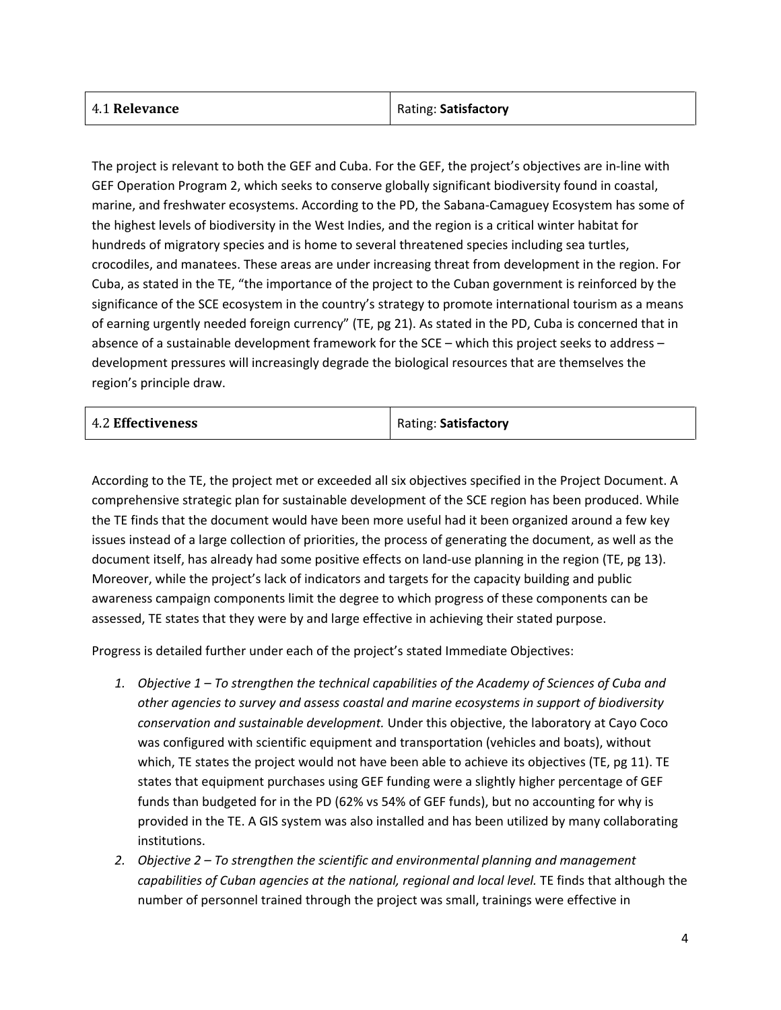| 4.1 Relevance | Rating: Satisfactory |
|---------------|----------------------|
|               |                      |

The project is relevant to both the GEF and Cuba. For the GEF, the project's objectives are in-line with GEF Operation Program 2, which seeks to conserve globally significant biodiversity found in coastal, marine, and freshwater ecosystems. According to the PD, the Sabana-Camaguey Ecosystem has some of the highest levels of biodiversity in the West Indies, and the region is a critical winter habitat for hundreds of migratory species and is home to several threatened species including sea turtles, crocodiles, and manatees. These areas are under increasing threat from development in the region. For Cuba, as stated in the TE, "the importance of the project to the Cuban government is reinforced by the significance of the SCE ecosystem in the country's strategy to promote international tourism as a means of earning urgently needed foreign currency" (TE, pg 21). As stated in the PD, Cuba is concerned that in absence of a sustainable development framework for the SCE – which this project seeks to address – development pressures will increasingly degrade the biological resources that are themselves the region's principle draw.

| Rating: Satisfactory<br><b>4.2 Effectiveness</b> |  |  |
|--------------------------------------------------|--|--|
|--------------------------------------------------|--|--|

According to the TE, the project met or exceeded all six objectives specified in the Project Document. A comprehensive strategic plan for sustainable development of the SCE region has been produced. While the TE finds that the document would have been more useful had it been organized around a few key issues instead of a large collection of priorities, the process of generating the document, as well as the document itself, has already had some positive effects on land-use planning in the region (TE, pg 13). Moreover, while the project's lack of indicators and targets for the capacity building and public awareness campaign components limit the degree to which progress of these components can be assessed, TE states that they were by and large effective in achieving their stated purpose.

Progress is detailed further under each of the project's stated Immediate Objectives:

- *1. Objective 1 To strengthen the technical capabilities of the Academy of Sciences of Cuba and other agencies to survey and assess coastal and marine ecosystems in support of biodiversity conservation and sustainable development.* Under this objective, the laboratory at Cayo Coco was configured with scientific equipment and transportation (vehicles and boats), without which, TE states the project would not have been able to achieve its objectives (TE, pg 11). TE states that equipment purchases using GEF funding were a slightly higher percentage of GEF funds than budgeted for in the PD (62% vs 54% of GEF funds), but no accounting for why is provided in the TE. A GIS system was also installed and has been utilized by many collaborating institutions.
- *2. Objective 2 To strengthen the scientific and environmental planning and management*  capabilities of Cuban agencies at the national, regional and local level. TE finds that although the number of personnel trained through the project was small, trainings were effective in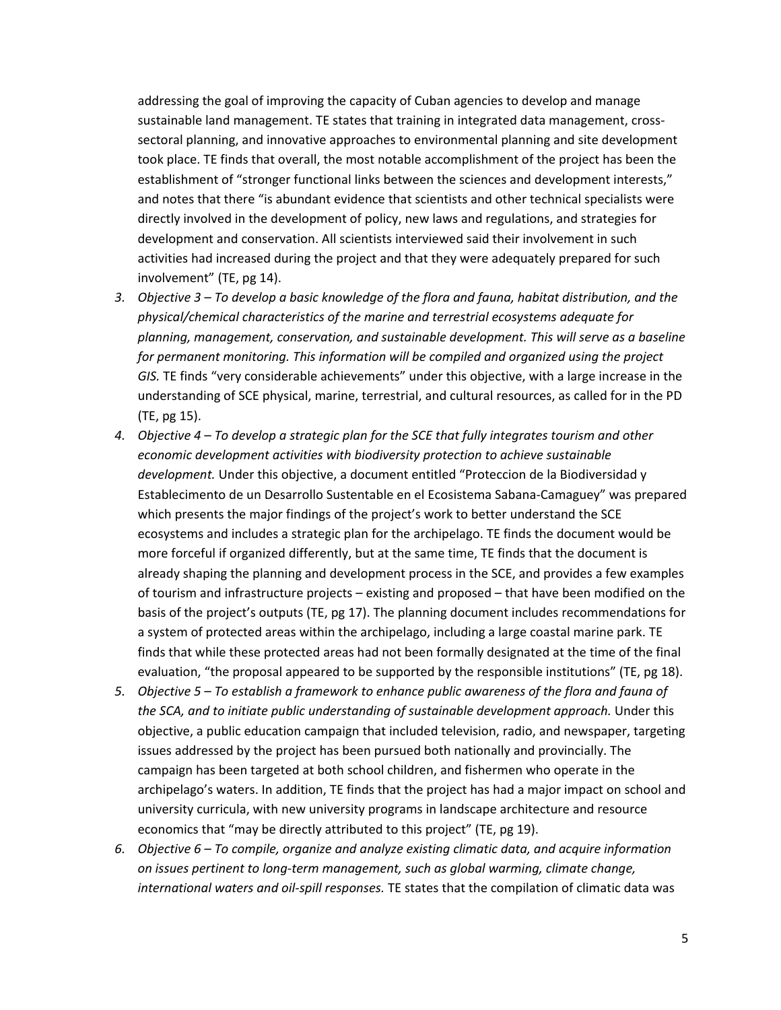addressing the goal of improving the capacity of Cuban agencies to develop and manage sustainable land management. TE states that training in integrated data management, crosssectoral planning, and innovative approaches to environmental planning and site development took place. TE finds that overall, the most notable accomplishment of the project has been the establishment of "stronger functional links between the sciences and development interests," and notes that there "is abundant evidence that scientists and other technical specialists were directly involved in the development of policy, new laws and regulations, and strategies for development and conservation. All scientists interviewed said their involvement in such activities had increased during the project and that they were adequately prepared for such involvement" (TE, pg 14).

- *3. Objective 3 To develop a basic knowledge of the flora and fauna, habitat distribution, and the physical/chemical characteristics of the marine and terrestrial ecosystems adequate for planning, management, conservation, and sustainable development. This will serve as a baseline for permanent monitoring. This information will be compiled and organized using the project GIS.* TE finds "very considerable achievements" under this objective, with a large increase in the understanding of SCE physical, marine, terrestrial, and cultural resources, as called for in the PD (TE, pg 15).
- *4. Objective 4 To develop a strategic plan for the SCE that fully integrates tourism and other economic development activities with biodiversity protection to achieve sustainable development.* Under this objective, a document entitled "Proteccion de la Biodiversidad y Establecimento de un Desarrollo Sustentable en el Ecosistema Sabana-Camaguey" was prepared which presents the major findings of the project's work to better understand the SCE ecosystems and includes a strategic plan for the archipelago. TE finds the document would be more forceful if organized differently, but at the same time, TE finds that the document is already shaping the planning and development process in the SCE, and provides a few examples of tourism and infrastructure projects – existing and proposed – that have been modified on the basis of the project's outputs (TE, pg 17). The planning document includes recommendations for a system of protected areas within the archipelago, including a large coastal marine park. TE finds that while these protected areas had not been formally designated at the time of the final evaluation, "the proposal appeared to be supported by the responsible institutions" (TE, pg 18).
- *5. Objective 5 To establish a framework to enhance public awareness of the flora and fauna of the SCA, and to initiate public understanding of sustainable development approach.* Under this objective, a public education campaign that included television, radio, and newspaper, targeting issues addressed by the project has been pursued both nationally and provincially. The campaign has been targeted at both school children, and fishermen who operate in the archipelago's waters. In addition, TE finds that the project has had a major impact on school and university curricula, with new university programs in landscape architecture and resource economics that "may be directly attributed to this project" (TE, pg 19).
- *6. Objective 6 To compile, organize and analyze existing climatic data, and acquire information on issues pertinent to long-term management, such as global warming, climate change, international waters and oil-spill responses.* TE states that the compilation of climatic data was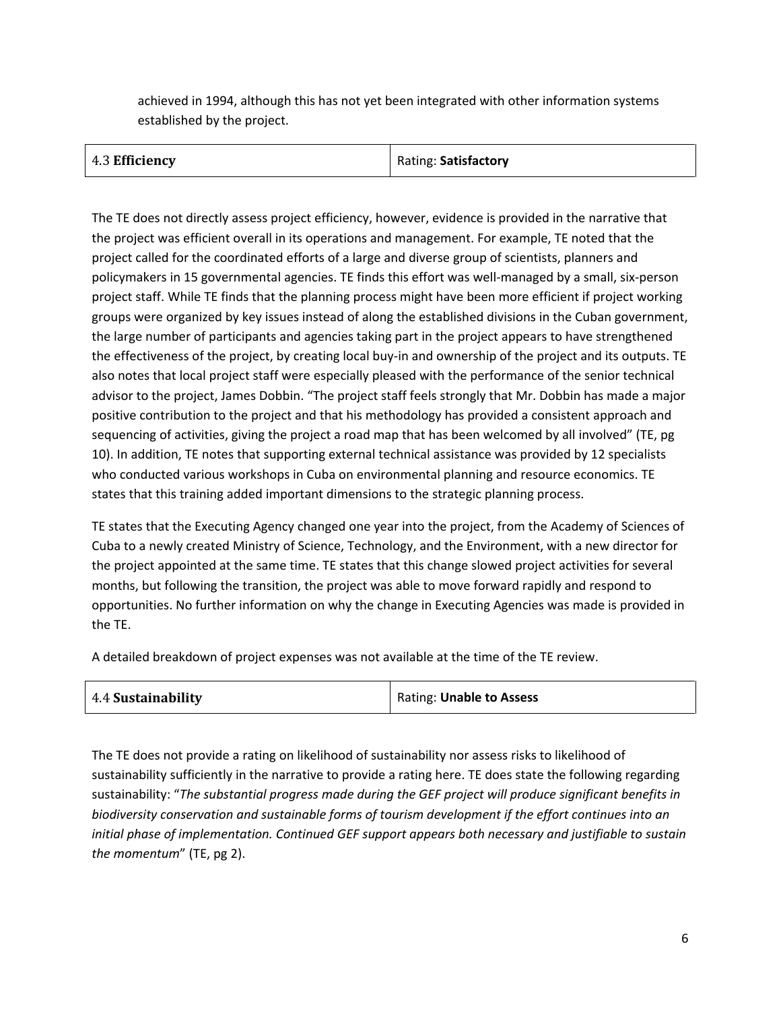achieved in 1994, although this has not yet been integrated with other information systems established by the project.

| 4.3 Efficiency | Rating: Satisfactory |
|----------------|----------------------|
|----------------|----------------------|

The TE does not directly assess project efficiency, however, evidence is provided in the narrative that the project was efficient overall in its operations and management. For example, TE noted that the project called for the coordinated efforts of a large and diverse group of scientists, planners and policymakers in 15 governmental agencies. TE finds this effort was well-managed by a small, six-person project staff. While TE finds that the planning process might have been more efficient if project working groups were organized by key issues instead of along the established divisions in the Cuban government, the large number of participants and agencies taking part in the project appears to have strengthened the effectiveness of the project, by creating local buy-in and ownership of the project and its outputs. TE also notes that local project staff were especially pleased with the performance of the senior technical advisor to the project, James Dobbin. "The project staff feels strongly that Mr. Dobbin has made a major positive contribution to the project and that his methodology has provided a consistent approach and sequencing of activities, giving the project a road map that has been welcomed by all involved" (TE, pg 10). In addition, TE notes that supporting external technical assistance was provided by 12 specialists who conducted various workshops in Cuba on environmental planning and resource economics. TE states that this training added important dimensions to the strategic planning process.

TE states that the Executing Agency changed one year into the project, from the Academy of Sciences of Cuba to a newly created Ministry of Science, Technology, and the Environment, with a new director for the project appointed at the same time. TE states that this change slowed project activities for several months, but following the transition, the project was able to move forward rapidly and respond to opportunities. No further information on why the change in Executing Agencies was made is provided in the TE.

A detailed breakdown of project expenses was not available at the time of the TE review.

| 4.4 Sustainability | Rating: Unable to Assess |
|--------------------|--------------------------|
|--------------------|--------------------------|

The TE does not provide a rating on likelihood of sustainability nor assess risks to likelihood of sustainability sufficiently in the narrative to provide a rating here. TE does state the following regarding sustainability: "*The substantial progress made during the GEF project will produce significant benefits in biodiversity conservation and sustainable forms of tourism development if the effort continues into an initial phase of implementation. Continued GEF support appears both necessary and justifiable to sustain the momentum*" (TE, pg 2).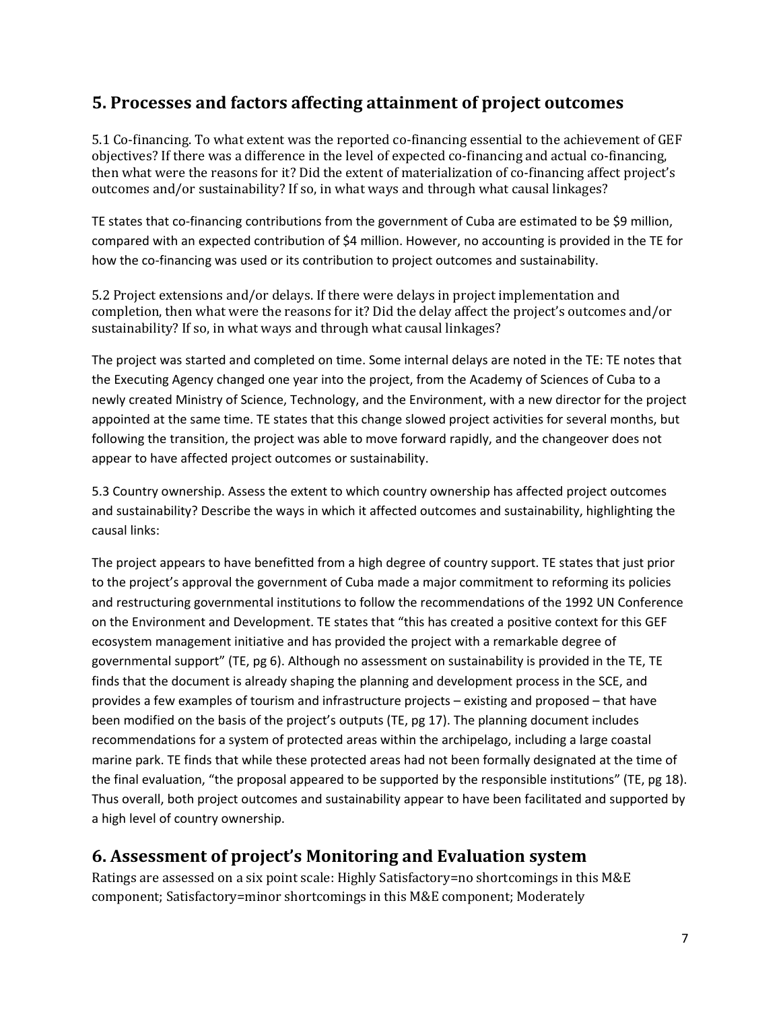### **5. Processes and factors affecting attainment of project outcomes**

5.1 Co-financing. To what extent was the reported co-financing essential to the achievement of GEF objectives? If there was a difference in the level of expected co-financing and actual co-financing, then what were the reasons for it? Did the extent of materialization of co-financing affect project's outcomes and/or sustainability? If so, in what ways and through what causal linkages?

TE states that co-financing contributions from the government of Cuba are estimated to be \$9 million, compared with an expected contribution of \$4 million. However, no accounting is provided in the TE for how the co-financing was used or its contribution to project outcomes and sustainability.

5.2 Project extensions and/or delays. If there were delays in project implementation and completion, then what were the reasons for it? Did the delay affect the project's outcomes and/or sustainability? If so, in what ways and through what causal linkages?

The project was started and completed on time. Some internal delays are noted in the TE: TE notes that the Executing Agency changed one year into the project, from the Academy of Sciences of Cuba to a newly created Ministry of Science, Technology, and the Environment, with a new director for the project appointed at the same time. TE states that this change slowed project activities for several months, but following the transition, the project was able to move forward rapidly, and the changeover does not appear to have affected project outcomes or sustainability.

5.3 Country ownership. Assess the extent to which country ownership has affected project outcomes and sustainability? Describe the ways in which it affected outcomes and sustainability, highlighting the causal links:

The project appears to have benefitted from a high degree of country support. TE states that just prior to the project's approval the government of Cuba made a major commitment to reforming its policies and restructuring governmental institutions to follow the recommendations of the 1992 UN Conference on the Environment and Development. TE states that "this has created a positive context for this GEF ecosystem management initiative and has provided the project with a remarkable degree of governmental support" (TE, pg 6). Although no assessment on sustainability is provided in the TE, TE finds that the document is already shaping the planning and development process in the SCE, and provides a few examples of tourism and infrastructure projects – existing and proposed – that have been modified on the basis of the project's outputs (TE, pg 17). The planning document includes recommendations for a system of protected areas within the archipelago, including a large coastal marine park. TE finds that while these protected areas had not been formally designated at the time of the final evaluation, "the proposal appeared to be supported by the responsible institutions" (TE, pg 18). Thus overall, both project outcomes and sustainability appear to have been facilitated and supported by a high level of country ownership.

### **6. Assessment of project's Monitoring and Evaluation system**

Ratings are assessed on a six point scale: Highly Satisfactory=no shortcomings in this M&E component; Satisfactory=minor shortcomings in this M&E component; Moderately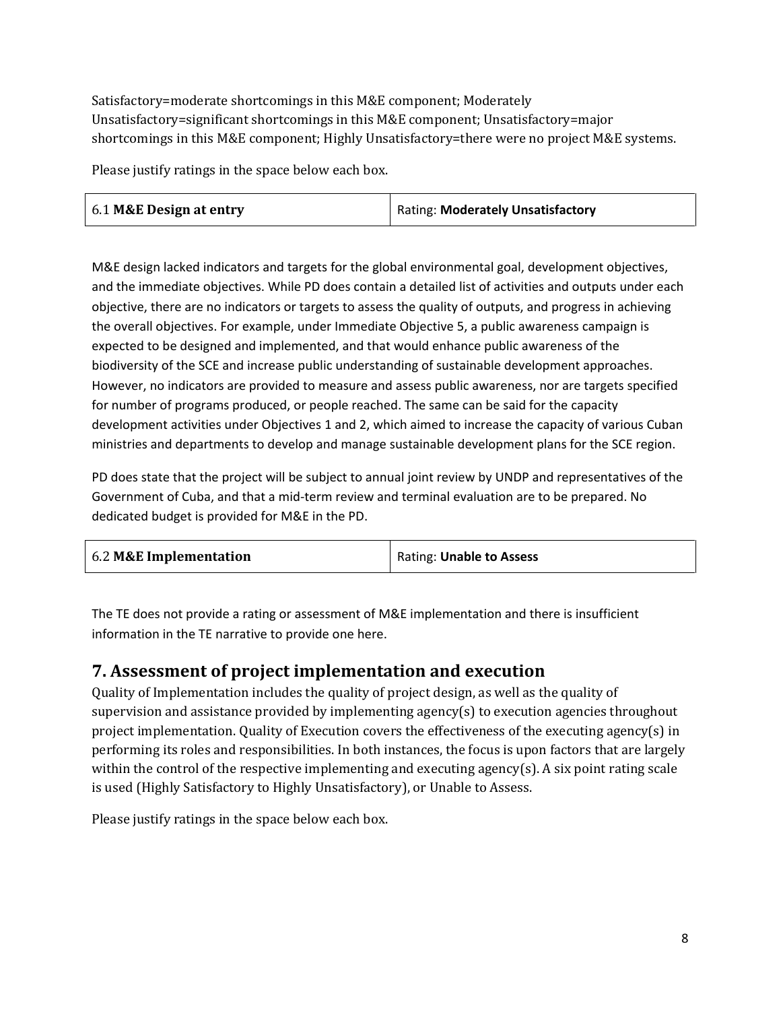Satisfactory=moderate shortcomings in this M&E component; Moderately Unsatisfactory=significant shortcomings in this M&E component; Unsatisfactory=major shortcomings in this M&E component; Highly Unsatisfactory=there were no project M&E systems.

Please justify ratings in the space below each box.

| 6.1 M&E Design at entry | Rating: Moderately Unsatisfactory |
|-------------------------|-----------------------------------|
|-------------------------|-----------------------------------|

M&E design lacked indicators and targets for the global environmental goal, development objectives, and the immediate objectives. While PD does contain a detailed list of activities and outputs under each objective, there are no indicators or targets to assess the quality of outputs, and progress in achieving the overall objectives. For example, under Immediate Objective 5, a public awareness campaign is expected to be designed and implemented, and that would enhance public awareness of the biodiversity of the SCE and increase public understanding of sustainable development approaches. However, no indicators are provided to measure and assess public awareness, nor are targets specified for number of programs produced, or people reached. The same can be said for the capacity development activities under Objectives 1 and 2, which aimed to increase the capacity of various Cuban ministries and departments to develop and manage sustainable development plans for the SCE region.

PD does state that the project will be subject to annual joint review by UNDP and representatives of the Government of Cuba, and that a mid-term review and terminal evaluation are to be prepared. No dedicated budget is provided for M&E in the PD.

| 6.2 M&E Implementation | Rating: Unable to Assess |
|------------------------|--------------------------|
|------------------------|--------------------------|

The TE does not provide a rating or assessment of M&E implementation and there is insufficient information in the TE narrative to provide one here.

### **7. Assessment of project implementation and execution**

Quality of Implementation includes the quality of project design, as well as the quality of supervision and assistance provided by implementing agency(s) to execution agencies throughout project implementation. Quality of Execution covers the effectiveness of the executing agency(s) in performing its roles and responsibilities. In both instances, the focus is upon factors that are largely within the control of the respective implementing and executing agency(s). A six point rating scale is used (Highly Satisfactory to Highly Unsatisfactory), or Unable to Assess.

Please justify ratings in the space below each box.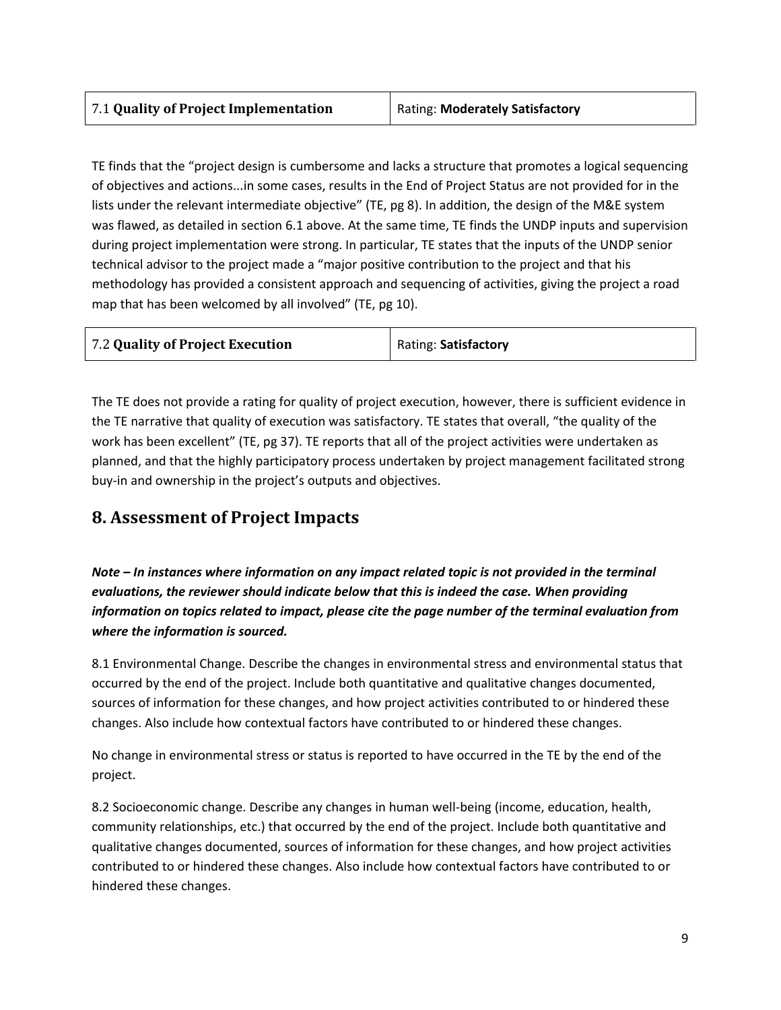TE finds that the "project design is cumbersome and lacks a structure that promotes a logical sequencing of objectives and actions...in some cases, results in the End of Project Status are not provided for in the lists under the relevant intermediate objective" (TE, pg 8). In addition, the design of the M&E system was flawed, as detailed in section 6.1 above. At the same time, TE finds the UNDP inputs and supervision during project implementation were strong. In particular, TE states that the inputs of the UNDP senior technical advisor to the project made a "major positive contribution to the project and that his methodology has provided a consistent approach and sequencing of activities, giving the project a road map that has been welcomed by all involved" (TE, pg 10).

| 7.2 Quality of Project Execution | Rating: Satisfactory |
|----------------------------------|----------------------|
|                                  |                      |

The TE does not provide a rating for quality of project execution, however, there is sufficient evidence in the TE narrative that quality of execution was satisfactory. TE states that overall, "the quality of the work has been excellent" (TE, pg 37). TE reports that all of the project activities were undertaken as planned, and that the highly participatory process undertaken by project management facilitated strong buy-in and ownership in the project's outputs and objectives.

## **8. Assessment of Project Impacts**

*Note – In instances where information on any impact related topic is not provided in the terminal evaluations, the reviewer should indicate below that this is indeed the case. When providing information on topics related to impact, please cite the page number of the terminal evaluation from where the information is sourced.*

8.1 Environmental Change. Describe the changes in environmental stress and environmental status that occurred by the end of the project. Include both quantitative and qualitative changes documented, sources of information for these changes, and how project activities contributed to or hindered these changes. Also include how contextual factors have contributed to or hindered these changes.

No change in environmental stress or status is reported to have occurred in the TE by the end of the project.

8.2 Socioeconomic change. Describe any changes in human well-being (income, education, health, community relationships, etc.) that occurred by the end of the project. Include both quantitative and qualitative changes documented, sources of information for these changes, and how project activities contributed to or hindered these changes. Also include how contextual factors have contributed to or hindered these changes.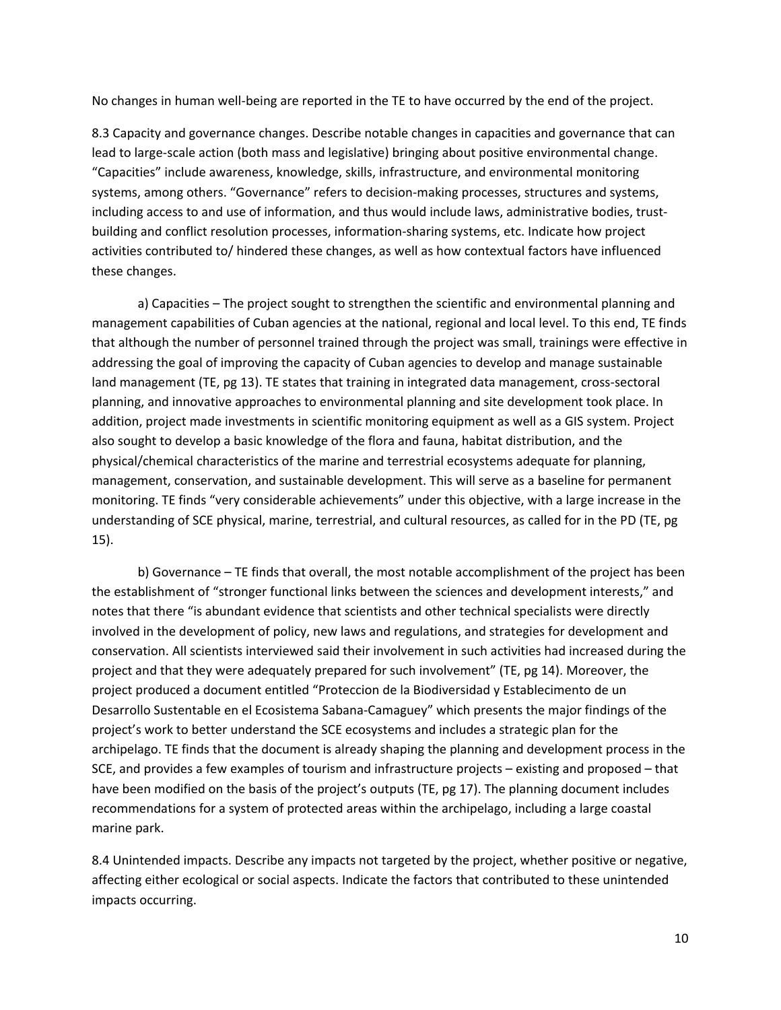No changes in human well-being are reported in the TE to have occurred by the end of the project.

8.3 Capacity and governance changes. Describe notable changes in capacities and governance that can lead to large-scale action (both mass and legislative) bringing about positive environmental change. "Capacities" include awareness, knowledge, skills, infrastructure, and environmental monitoring systems, among others. "Governance" refers to decision-making processes, structures and systems, including access to and use of information, and thus would include laws, administrative bodies, trustbuilding and conflict resolution processes, information-sharing systems, etc. Indicate how project activities contributed to/ hindered these changes, as well as how contextual factors have influenced these changes.

a) Capacities – The project sought to strengthen the scientific and environmental planning and management capabilities of Cuban agencies at the national, regional and local level. To this end, TE finds that although the number of personnel trained through the project was small, trainings were effective in addressing the goal of improving the capacity of Cuban agencies to develop and manage sustainable land management (TE, pg 13). TE states that training in integrated data management, cross-sectoral planning, and innovative approaches to environmental planning and site development took place. In addition, project made investments in scientific monitoring equipment as well as a GIS system. Project also sought to develop a basic knowledge of the flora and fauna, habitat distribution, and the physical/chemical characteristics of the marine and terrestrial ecosystems adequate for planning, management, conservation, and sustainable development. This will serve as a baseline for permanent monitoring. TE finds "very considerable achievements" under this objective, with a large increase in the understanding of SCE physical, marine, terrestrial, and cultural resources, as called for in the PD (TE, pg 15).

b) Governance – TE finds that overall, the most notable accomplishment of the project has been the establishment of "stronger functional links between the sciences and development interests," and notes that there "is abundant evidence that scientists and other technical specialists were directly involved in the development of policy, new laws and regulations, and strategies for development and conservation. All scientists interviewed said their involvement in such activities had increased during the project and that they were adequately prepared for such involvement" (TE, pg 14). Moreover, the project produced a document entitled "Proteccion de la Biodiversidad y Establecimento de un Desarrollo Sustentable en el Ecosistema Sabana-Camaguey" which presents the major findings of the project's work to better understand the SCE ecosystems and includes a strategic plan for the archipelago. TE finds that the document is already shaping the planning and development process in the SCE, and provides a few examples of tourism and infrastructure projects – existing and proposed – that have been modified on the basis of the project's outputs (TE, pg 17). The planning document includes recommendations for a system of protected areas within the archipelago, including a large coastal marine park.

8.4 Unintended impacts. Describe any impacts not targeted by the project, whether positive or negative, affecting either ecological or social aspects. Indicate the factors that contributed to these unintended impacts occurring.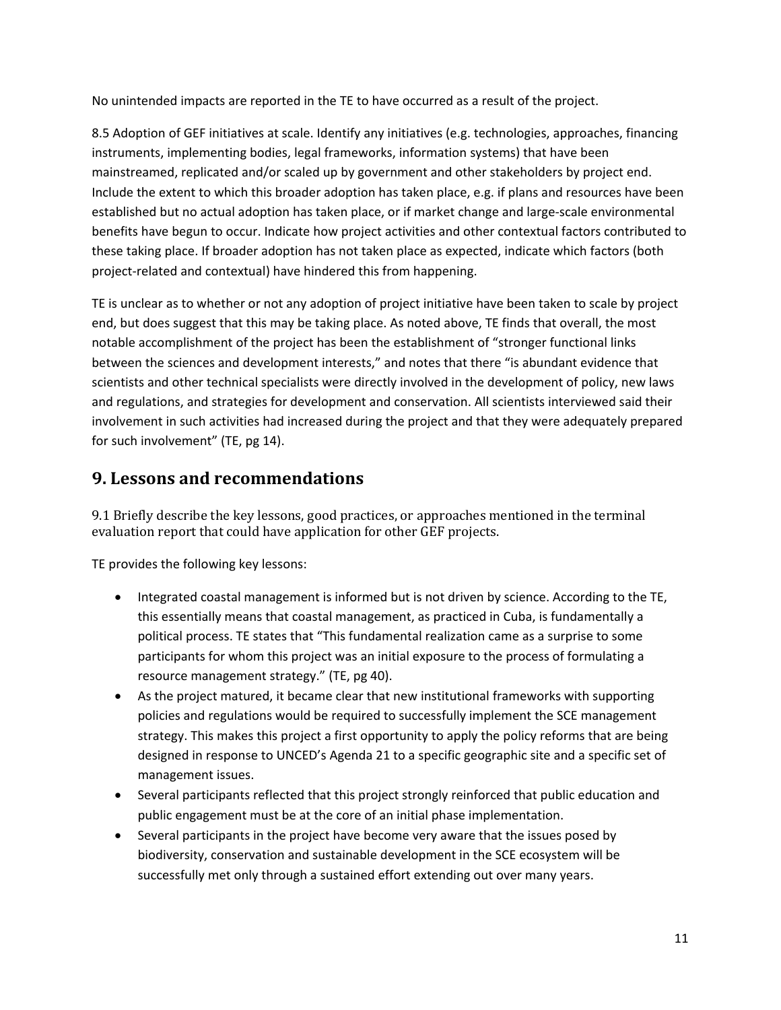No unintended impacts are reported in the TE to have occurred as a result of the project.

8.5 Adoption of GEF initiatives at scale. Identify any initiatives (e.g. technologies, approaches, financing instruments, implementing bodies, legal frameworks, information systems) that have been mainstreamed, replicated and/or scaled up by government and other stakeholders by project end. Include the extent to which this broader adoption has taken place, e.g. if plans and resources have been established but no actual adoption has taken place, or if market change and large-scale environmental benefits have begun to occur. Indicate how project activities and other contextual factors contributed to these taking place. If broader adoption has not taken place as expected, indicate which factors (both project-related and contextual) have hindered this from happening.

TE is unclear as to whether or not any adoption of project initiative have been taken to scale by project end, but does suggest that this may be taking place. As noted above, TE finds that overall, the most notable accomplishment of the project has been the establishment of "stronger functional links between the sciences and development interests," and notes that there "is abundant evidence that scientists and other technical specialists were directly involved in the development of policy, new laws and regulations, and strategies for development and conservation. All scientists interviewed said their involvement in such activities had increased during the project and that they were adequately prepared for such involvement" (TE, pg 14).

### **9. Lessons and recommendations**

9.1 Briefly describe the key lessons, good practices, or approaches mentioned in the terminal evaluation report that could have application for other GEF projects.

TE provides the following key lessons:

- Integrated coastal management is informed but is not driven by science. According to the TE, this essentially means that coastal management, as practiced in Cuba, is fundamentally a political process. TE states that "This fundamental realization came as a surprise to some participants for whom this project was an initial exposure to the process of formulating a resource management strategy." (TE, pg 40).
- As the project matured, it became clear that new institutional frameworks with supporting policies and regulations would be required to successfully implement the SCE management strategy. This makes this project a first opportunity to apply the policy reforms that are being designed in response to UNCED's Agenda 21 to a specific geographic site and a specific set of management issues.
- Several participants reflected that this project strongly reinforced that public education and public engagement must be at the core of an initial phase implementation.
- Several participants in the project have become very aware that the issues posed by biodiversity, conservation and sustainable development in the SCE ecosystem will be successfully met only through a sustained effort extending out over many years.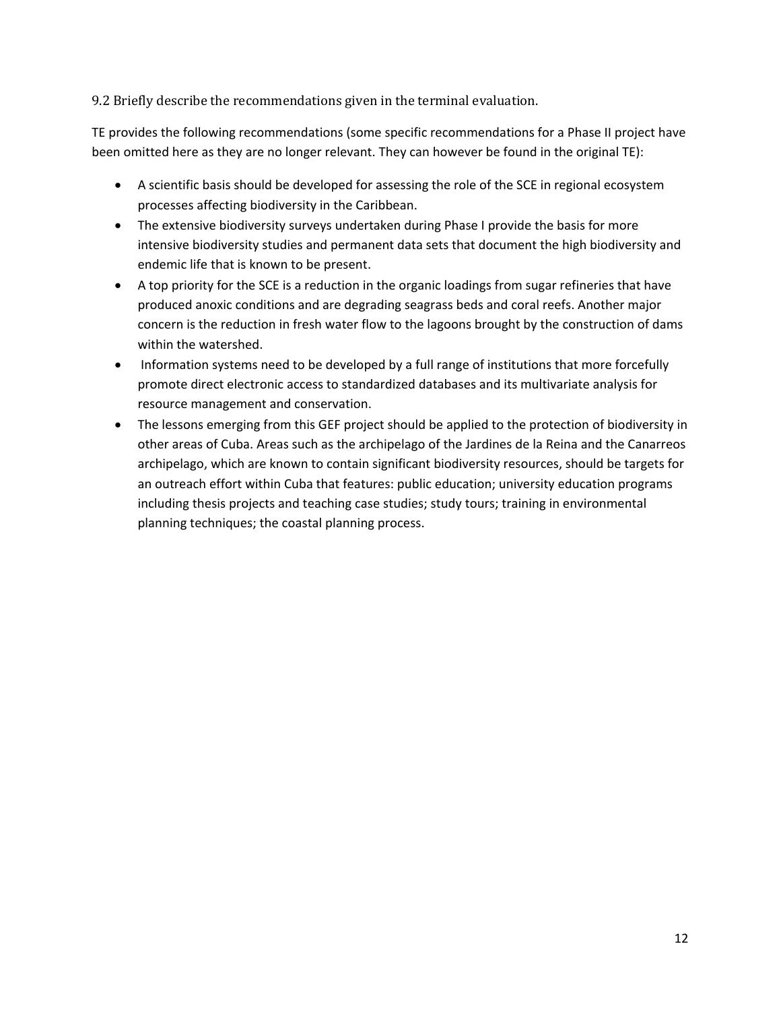9.2 Briefly describe the recommendations given in the terminal evaluation.

TE provides the following recommendations (some specific recommendations for a Phase II project have been omitted here as they are no longer relevant. They can however be found in the original TE):

- A scientific basis should be developed for assessing the role of the SCE in regional ecosystem processes affecting biodiversity in the Caribbean.
- The extensive biodiversity surveys undertaken during Phase I provide the basis for more intensive biodiversity studies and permanent data sets that document the high biodiversity and endemic life that is known to be present.
- A top priority for the SCE is a reduction in the organic loadings from sugar refineries that have produced anoxic conditions and are degrading seagrass beds and coral reefs. Another major concern is the reduction in fresh water flow to the lagoons brought by the construction of dams within the watershed.
- Information systems need to be developed by a full range of institutions that more forcefully promote direct electronic access to standardized databases and its multivariate analysis for resource management and conservation.
- The lessons emerging from this GEF project should be applied to the protection of biodiversity in other areas of Cuba. Areas such as the archipelago of the Jardines de la Reina and the Canarreos archipelago, which are known to contain significant biodiversity resources, should be targets for an outreach effort within Cuba that features: public education; university education programs including thesis projects and teaching case studies; study tours; training in environmental planning techniques; the coastal planning process.